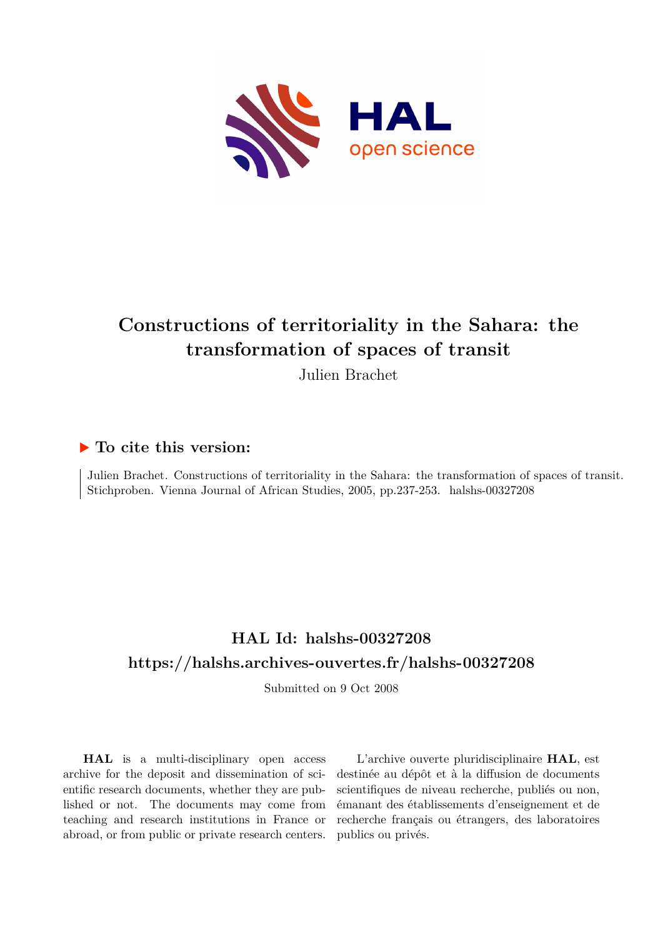

# **Constructions of territoriality in the Sahara: the transformation of spaces of transit**

Julien Brachet

### **To cite this version:**

Julien Brachet. Constructions of territoriality in the Sahara: the transformation of spaces of transit. Stichproben. Vienna Journal of African Studies, 2005, pp.237-253. halshs-00327208

## **HAL Id: halshs-00327208 <https://halshs.archives-ouvertes.fr/halshs-00327208>**

Submitted on 9 Oct 2008

**HAL** is a multi-disciplinary open access archive for the deposit and dissemination of scientific research documents, whether they are published or not. The documents may come from teaching and research institutions in France or abroad, or from public or private research centers.

L'archive ouverte pluridisciplinaire **HAL**, est destinée au dépôt et à la diffusion de documents scientifiques de niveau recherche, publiés ou non, émanant des établissements d'enseignement et de recherche français ou étrangers, des laboratoires publics ou privés.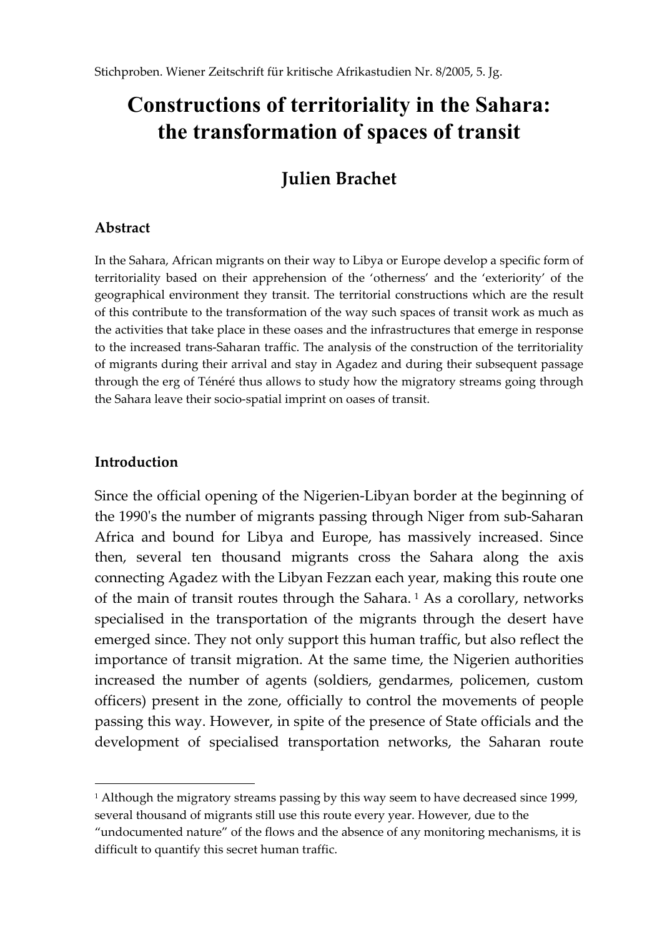# **Constructions of territoriality in the Sahara: the transformation of spaces of transit**

## **Julien Brachet**

## **Abstract**

In the Sahara, African migrants on their way to Libya or Europe develop a specific form of territoriality based on their apprehension of the 'otherness' and the 'exteriority' of the geographical environment they transit. The territorial constructions which are the result of this contribute to the transformation of the way such spaces of transit work as much as the activities that take place in these oases and the infrastructures that emerge in response to the increased trans-Saharan traffic. The analysis of the construction of the territoriality of migrants during their arrival and stay in Agadez and during their subsequent passage through the erg of Ténéré thus allows to study how the migratory streams going through the Sahara leave their socio-spatial imprint on oases of transit.

## **Introduction**

l

Since the official opening of the Nigerien-Libyan border at the beginning of the 1990's the number of migrants passing through Niger from sub-Saharan Africa and bound for Libya and Europe, has massively increased. Since then, several ten thousand migrants cross the Sahara along the axis connecting Agadez with the Libyan Fezzan each year, making this route one of the main of transit routes through the Sahara.<sup>1</sup> As a corollary, networks specialised in the transportation of the migrants through the desert have emerged since. They not only support this human traffic, but also reflect the importance of transit migration. At the same time, the Nigerien authorities increased the number of agents (soldiers, gendarmes, policemen, custom officers) present in the zone, officially to control the movements of people passing this way. However, in spite of the presence of State officials and the development of specialised transportation networks, the Saharan route

<sup>&</sup>lt;sup>1</sup> Although the migratory streams passing by this way seem to have decreased since 1999, several thousand of migrants still use this route every year. However, due to the

<sup>&</sup>quot;undocumented nature" of the flows and the absence of any monitoring mechanisms, it is difficult to quantify this secret human traffic.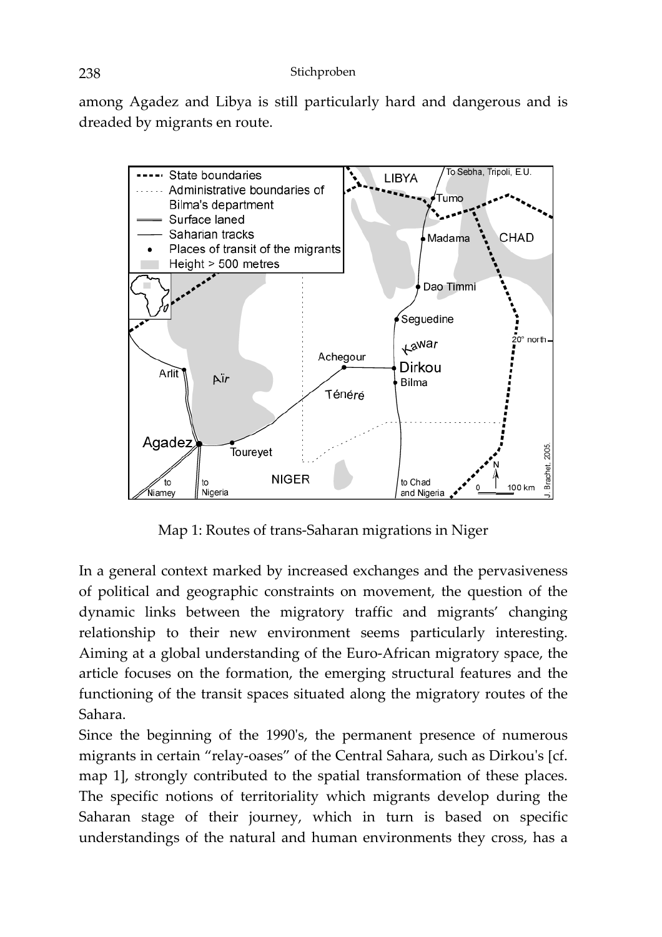among Agadez and Libya is still particularly hard and dangerous and is dreaded by migrants en route.



Map 1: Routes of trans-Saharan migrations in Niger

In a general context marked by increased exchanges and the pervasiveness of political and geographic constraints on movement, the question of the dynamic links between the migratory traffic and migrants' changing relationship to their new environment seems particularly interesting. Aiming at a global understanding of the Euro-African migratory space, the article focuses on the formation, the emerging structural features and the functioning of the transit spaces situated along the migratory routes of the Sahara.

Since the beginning of the 1990's, the permanent presence of numerous migrants in certain "relay-oases" of the Central Sahara, such as Dirkou's [cf. map 1], strongly contributed to the spatial transformation of these places. The specific notions of territoriality which migrants develop during the Saharan stage of their journey, which in turn is based on specific understandings of the natural and human environments they cross, has a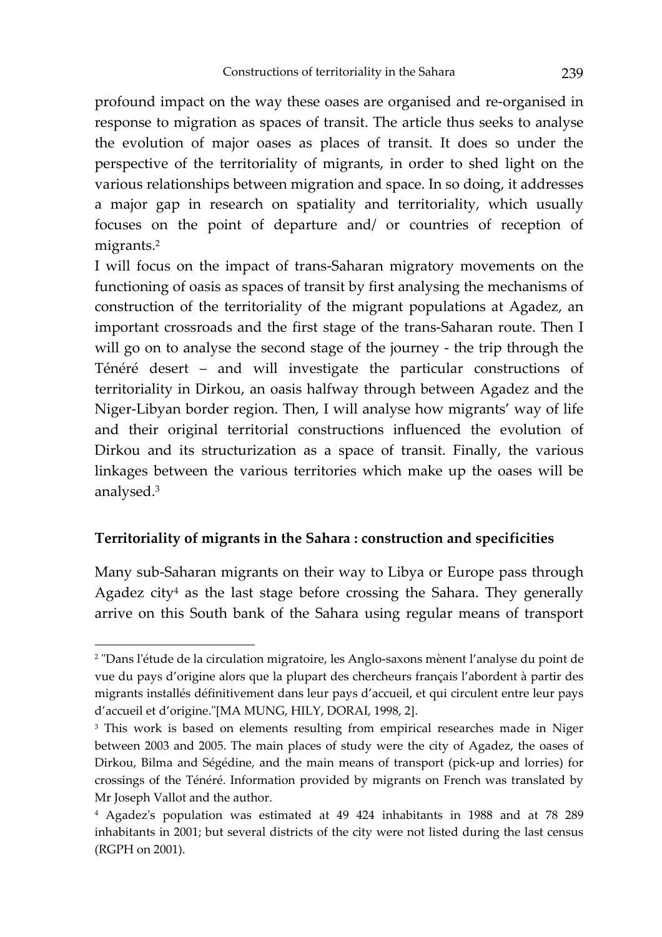profound impact on the way these oases are organised and re-organised in response to migration as spaces of transit. The article thus seeks to analyse the evolution of major oases as places of transit. It does so under the perspective of the territoriality of migrants, in order to shed light on the various relationships between migration and space. In so doing, it addresses a major gap in research on spatiality and territoriality, which usually focuses on the point of departure and/ or countries of reception of migrants.<sup>2</sup>

I will focus on the impact of trans-Saharan migratory movements on the functioning of oasis as spaces of transit by first analysing the mechanisms of construction of the territoriality of the migrant populations at Agadez, an important crossroads and the first stage of the trans-Saharan route. Then I will go on to analyse the second stage of the journey - the trip through the Ténéré desert – and will investigate the particular constructions of territoriality in Dirkou, an oasis halfway through between Agadez and the Niger-Libyan border region. Then, I will analyse how migrants' way of life and their original territorial constructions influenced the evolution of Dirkou and its structurization as a space of transit. Finally, the various linkages between the various territories which make up the oases will be analysed.3

## **Territoriality of migrants in the Sahara : construction and specificities**

l

Many sub-Saharan migrants on their way to Libya or Europe pass through Agadez city<sup>4</sup> as the last stage before crossing the Sahara. They generally arrive on this South bank of the Sahara using regular means of transport

<sup>2 &</sup>quot;Dans l'étude de la circulation migratoire, les Anglo-saxons mènent l'analyse du point de vue du pays d'origine alors que la plupart des chercheurs français l'abordent à partir des migrants installés définitivement dans leur pays d'accueil, et qui circulent entre leur pays d'accueil et d'origine."[MA MUNG, HILY, DORAI, 1998, 2].

<sup>&</sup>lt;sup>3</sup> This work is based on elements resulting from empirical researches made in Niger between 2003 and 2005. The main places of study were the city of Agadez, the oases of Dirkou, Bilma and Ségédine, and the main means of transport (pick-up and lorries) for crossings of the Ténéré. Information provided by migrants on French was translated by Mr Joseph Vallot and the author.

<sup>4</sup> Agadez's population was estimated at 49 424 inhabitants in 1988 and at 78 289 inhabitants in 2001; but several districts of the city were not listed during the last census (RGPH on 2001).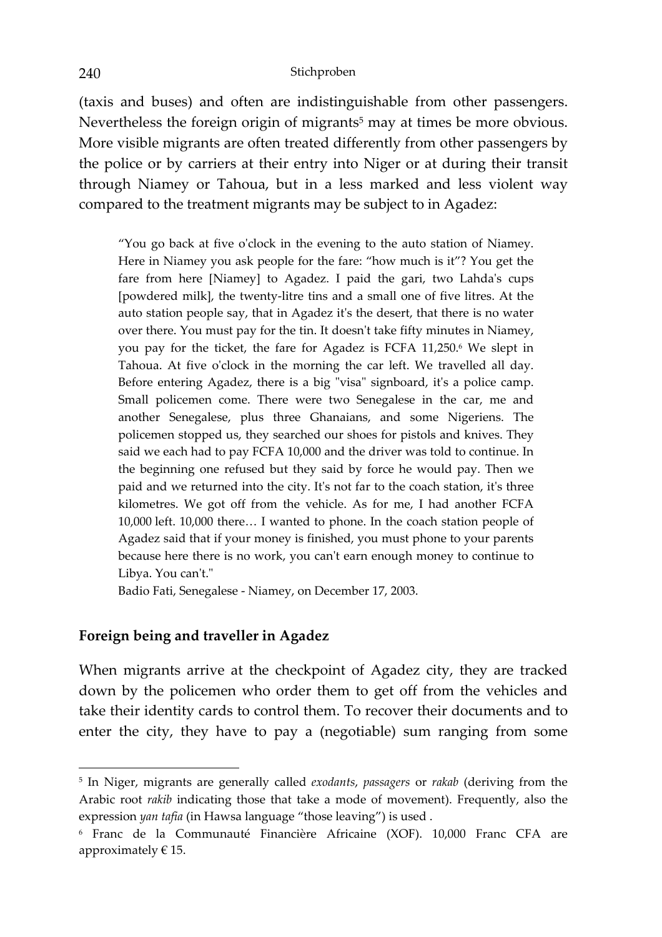(taxis and buses) and often are indistinguishable from other passengers. Nevertheless the foreign origin of migrants<sup>5</sup> may at times be more obvious. More visible migrants are often treated differently from other passengers by the police or by carriers at their entry into Niger or at during their transit through Niamey or Tahoua, but in a less marked and less violent way compared to the treatment migrants may be subject to in Agadez:

"You go back at five o'clock in the evening to the auto station of Niamey. Here in Niamey you ask people for the fare: "how much is it"? You get the fare from here [Niamey] to Agadez. I paid the gari, two Lahda's cups [powdered milk], the twenty-litre tins and a small one of five litres. At the auto station people say, that in Agadez it's the desert, that there is no water over there. You must pay for the tin. It doesn't take fifty minutes in Niamey, you pay for the ticket, the fare for Agadez is FCFA 11,250.<sup>6</sup> We slept in Tahoua. At five o'clock in the morning the car left. We travelled all day. Before entering Agadez, there is a big "visa" signboard, it's a police camp. Small policemen come. There were two Senegalese in the car, me and another Senegalese, plus three Ghanaians, and some Nigeriens. The policemen stopped us, they searched our shoes for pistols and knives. They said we each had to pay FCFA 10,000 and the driver was told to continue. In the beginning one refused but they said by force he would pay. Then we paid and we returned into the city. It's not far to the coach station, it's three kilometres. We got off from the vehicle. As for me, I had another FCFA 10,000 left. 10,000 there… I wanted to phone. In the coach station people of Agadez said that if your money is finished, you must phone to your parents because here there is no work, you can't earn enough money to continue to Libya. You can't."

Badio Fati, Senegalese - Niamey, on December 17, 2003.

#### **Foreign being and traveller in Agadez**

When migrants arrive at the checkpoint of Agadez city, they are tracked down by the policemen who order them to get off from the vehicles and take their identity cards to control them. To recover their documents and to enter the city, they have to pay a (negotiable) sum ranging from some

 $\overline{\phantom{a}}$ 

<sup>5</sup> In Niger, migrants are generally called *exodants*, *passagers* or *rakab* (deriving from the Arabic root *rakib* indicating those that take a mode of movement). Frequently, also the expression *yan tafia* (in Hawsa language "those leaving") is used .

<sup>6</sup> Franc de la Communauté Financière Africaine (XOF). 10,000 Franc CFA are approximately  $\in$  15.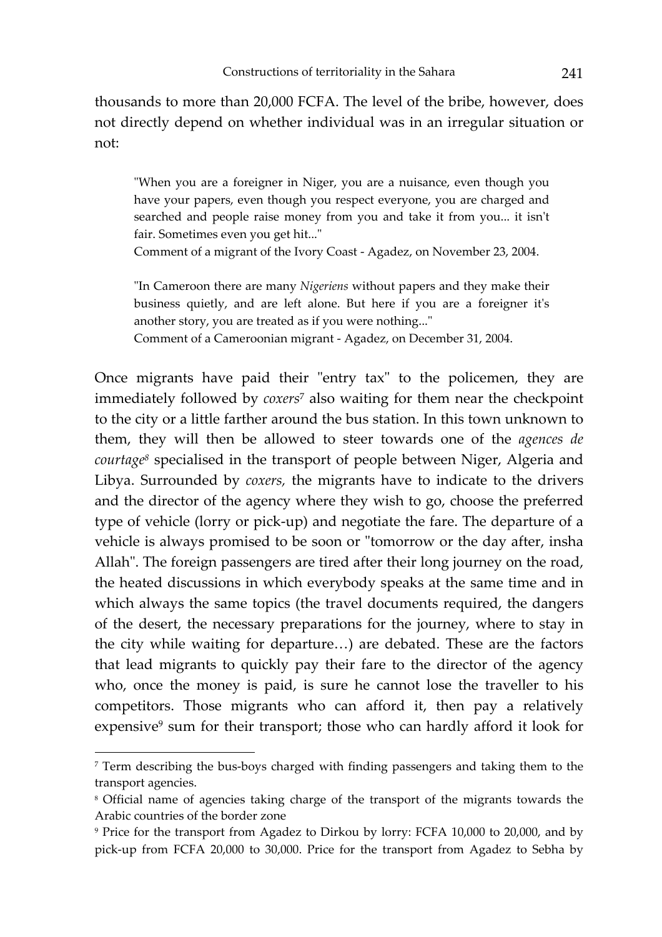thousands to more than 20,000 FCFA. The level of the bribe, however, does not directly depend on whether individual was in an irregular situation or not:

"When you are a foreigner in Niger, you are a nuisance, even though you have your papers, even though you respect everyone, you are charged and searched and people raise money from you and take it from you... it isn't fair. Sometimes even you get hit..."

Comment of a migrant of the Ivory Coast - Agadez, on November 23, 2004.

"In Cameroon there are many *Nigeriens* without papers and they make their business quietly, and are left alone. But here if you are a foreigner it's another story, you are treated as if you were nothing..."

Comment of a Cameroonian migrant - Agadez, on December 31, 2004.

Once migrants have paid their "entry tax" to the policemen, they are immediately followed by *coxers*7 also waiting for them near the checkpoint to the city or a little farther around the bus station. In this town unknown to them, they will then be allowed to steer towards one of the *agences de courtage8* specialised in the transport of people between Niger, Algeria and Libya. Surrounded by *coxers,* the migrants have to indicate to the drivers and the director of the agency where they wish to go, choose the preferred type of vehicle (lorry or pick-up) and negotiate the fare. The departure of a vehicle is always promised to be soon or "tomorrow or the day after, insha Allah". The foreign passengers are tired after their long journey on the road, the heated discussions in which everybody speaks at the same time and in which always the same topics (the travel documents required, the dangers of the desert, the necessary preparations for the journey, where to stay in the city while waiting for departure…) are debated. These are the factors that lead migrants to quickly pay their fare to the director of the agency who, once the money is paid, is sure he cannot lose the traveller to his competitors. Those migrants who can afford it, then pay a relatively expensive9 sum for their transport; those who can hardly afford it look for

l

<sup>&</sup>lt;sup>7</sup> Term describing the bus-boys charged with finding passengers and taking them to the transport agencies.

<sup>8</sup> Official name of agencies taking charge of the transport of the migrants towards the Arabic countries of the border zone

<sup>9</sup> Price for the transport from Agadez to Dirkou by lorry: FCFA 10,000 to 20,000, and by pick-up from FCFA 20,000 to 30,000. Price for the transport from Agadez to Sebha by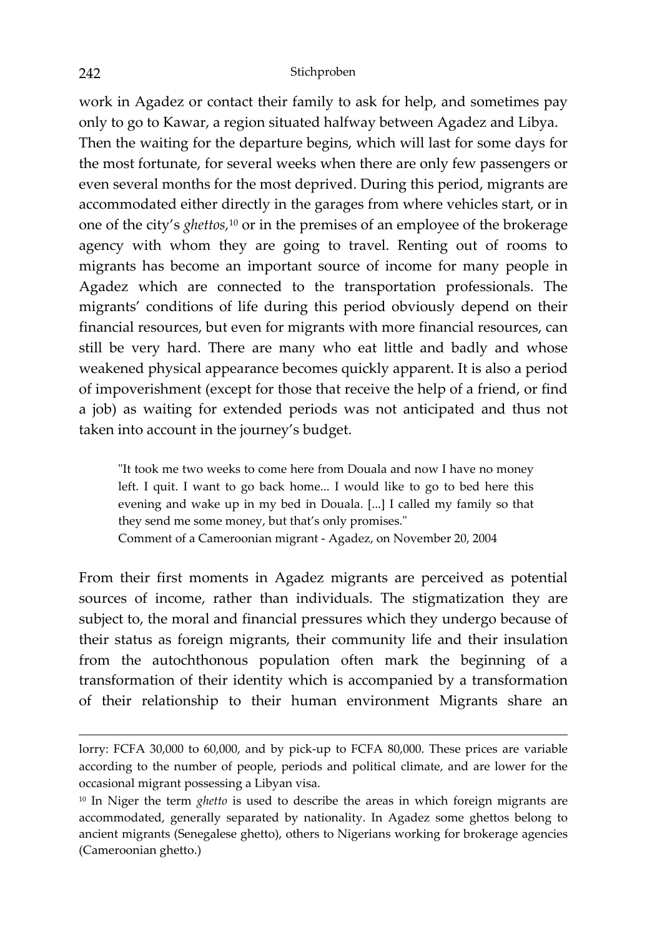work in Agadez or contact their family to ask for help, and sometimes pay only to go to Kawar, a region situated halfway between Agadez and Libya. Then the waiting for the departure begins, which will last for some days for the most fortunate, for several weeks when there are only few passengers or even several months for the most deprived. During this period, migrants are accommodated either directly in the garages from where vehicles start, or in one of the city's *ghettos,*10 or in the premises of an employee of the brokerage agency with whom they are going to travel. Renting out of rooms to migrants has become an important source of income for many people in Agadez which are connected to the transportation professionals. The migrants' conditions of life during this period obviously depend on their financial resources, but even for migrants with more financial resources, can still be very hard. There are many who eat little and badly and whose weakened physical appearance becomes quickly apparent. It is also a period of impoverishment (except for those that receive the help of a friend, or find a job) as waiting for extended periods was not anticipated and thus not taken into account in the journey's budget.

"It took me two weeks to come here from Douala and now I have no money left. I quit. I want to go back home... I would like to go to bed here this evening and wake up in my bed in Douala. [...] I called my family so that they send me some money, but that's only promises." Comment of a Cameroonian migrant - Agadez, on November 20, 2004

From their first moments in Agadez migrants are perceived as potential sources of income, rather than individuals. The stigmatization they are subject to, the moral and financial pressures which they undergo because of their status as foreign migrants, their community life and their insulation from the autochthonous population often mark the beginning of a transformation of their identity which is accompanied by a transformation of their relationship to their human environment Migrants share an

 $\overline{a}$ 

lorry: FCFA 30,000 to 60,000, and by pick-up to FCFA 80,000. These prices are variable according to the number of people, periods and political climate, and are lower for the occasional migrant possessing a Libyan visa.

<sup>10</sup> In Niger the term *ghetto* is used to describe the areas in which foreign migrants are accommodated, generally separated by nationality. In Agadez some ghettos belong to ancient migrants (Senegalese ghetto), others to Nigerians working for brokerage agencies (Cameroonian ghetto.)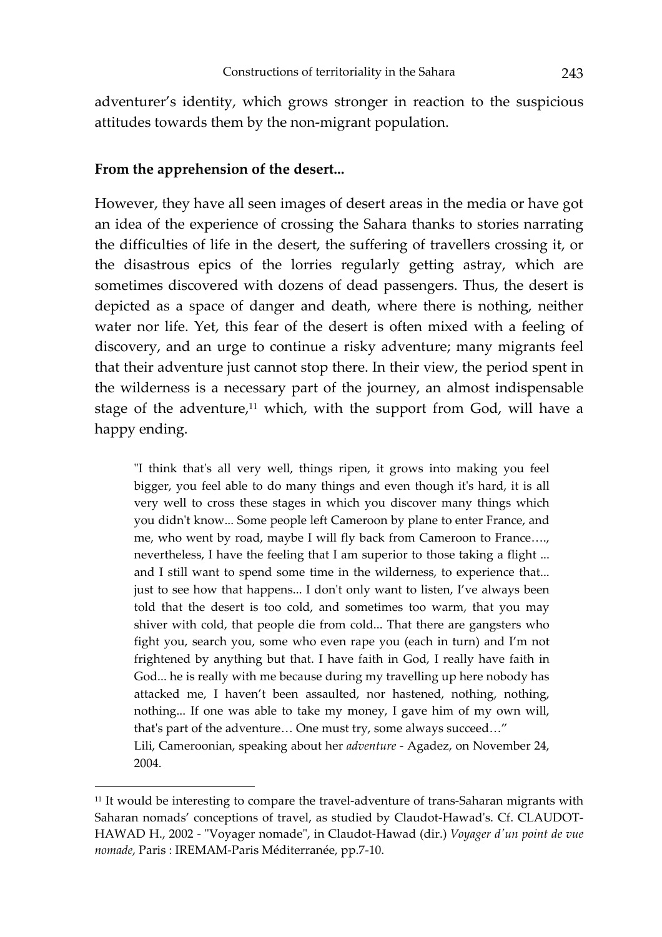adventurer's identity, which grows stronger in reaction to the suspicious attitudes towards them by the non-migrant population.

#### **From the apprehension of the desert...**

l

However, they have all seen images of desert areas in the media or have got an idea of the experience of crossing the Sahara thanks to stories narrating the difficulties of life in the desert, the suffering of travellers crossing it, or the disastrous epics of the lorries regularly getting astray, which are sometimes discovered with dozens of dead passengers. Thus, the desert is depicted as a space of danger and death, where there is nothing, neither water nor life. Yet, this fear of the desert is often mixed with a feeling of discovery, and an urge to continue a risky adventure; many migrants feel that their adventure just cannot stop there. In their view, the period spent in the wilderness is a necessary part of the journey, an almost indispensable stage of the adventure, $11$  which, with the support from God, will have a happy ending.

"I think that's all very well, things ripen, it grows into making you feel bigger, you feel able to do many things and even though it's hard, it is all very well to cross these stages in which you discover many things which you didn't know... Some people left Cameroon by plane to enter France, and me, who went by road, maybe I will fly back from Cameroon to France…., nevertheless, I have the feeling that I am superior to those taking a flight ... and I still want to spend some time in the wilderness, to experience that... just to see how that happens... I don't only want to listen, I've always been told that the desert is too cold, and sometimes too warm, that you may shiver with cold, that people die from cold... That there are gangsters who fight you, search you, some who even rape you (each in turn) and I'm not frightened by anything but that. I have faith in God, I really have faith in God... he is really with me because during my travelling up here nobody has attacked me, I haven't been assaulted, nor hastened, nothing, nothing, nothing... If one was able to take my money, I gave him of my own will, that's part of the adventure… One must try, some always succeed…" Lili, Cameroonian, speaking about her *adventure* - Agadez, on November 24, 2004.

<sup>&</sup>lt;sup>11</sup> It would be interesting to compare the travel-adventure of trans-Saharan migrants with Saharan nomads' conceptions of travel, as studied by Claudot-Hawad's. Cf. CLAUDOT-HAWAD H., 2002 - "Voyager nomade", in Claudot-Hawad (dir.) *Voyager d'un point de vue nomade*, Paris : IREMAM-Paris Méditerranée, pp.7-10.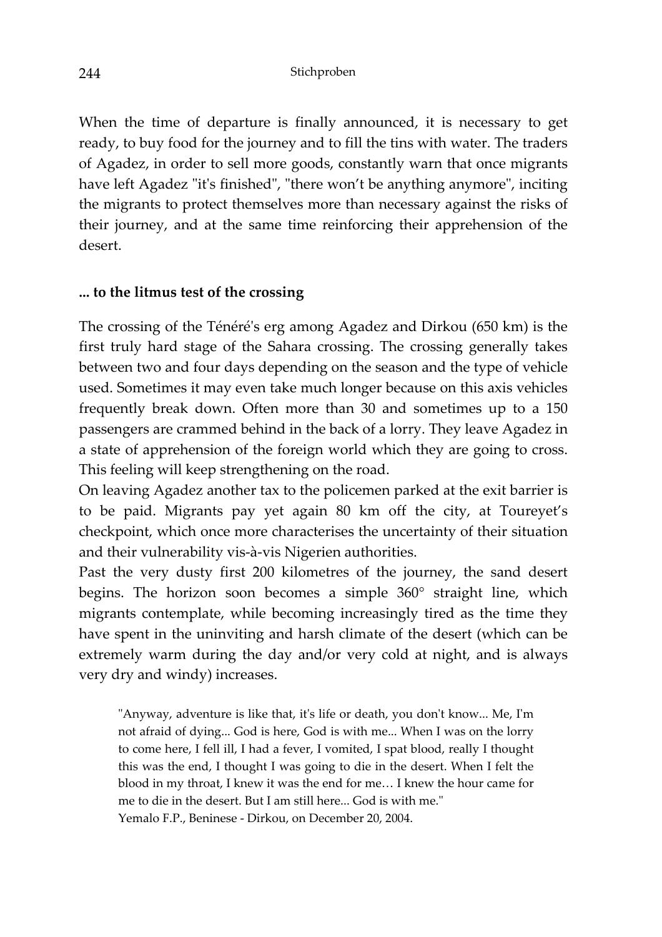When the time of departure is finally announced, it is necessary to get ready, to buy food for the journey and to fill the tins with water. The traders of Agadez, in order to sell more goods, constantly warn that once migrants have left Agadez "it's finished", "there won't be anything anymore", inciting the migrants to protect themselves more than necessary against the risks of their journey, and at the same time reinforcing their apprehension of the desert.

## **... to the litmus test of the crossing**

The crossing of the Ténéré's erg among Agadez and Dirkou (650 km) is the first truly hard stage of the Sahara crossing. The crossing generally takes between two and four days depending on the season and the type of vehicle used. Sometimes it may even take much longer because on this axis vehicles frequently break down. Often more than 30 and sometimes up to a 150 passengers are crammed behind in the back of a lorry. They leave Agadez in a state of apprehension of the foreign world which they are going to cross. This feeling will keep strengthening on the road.

On leaving Agadez another tax to the policemen parked at the exit barrier is to be paid. Migrants pay yet again 80 km off the city, at Toureyet's checkpoint, which once more characterises the uncertainty of their situation and their vulnerability vis-à-vis Nigerien authorities.

Past the very dusty first 200 kilometres of the journey, the sand desert begins. The horizon soon becomes a simple 360° straight line, which migrants contemplate, while becoming increasingly tired as the time they have spent in the uninviting and harsh climate of the desert (which can be extremely warm during the day and/or very cold at night, and is always very dry and windy) increases.

"Anyway, adventure is like that, it's life or death, you don't know... Me, I'm not afraid of dying... God is here, God is with me... When I was on the lorry to come here, I fell ill, I had a fever, I vomited, I spat blood, really I thought this was the end, I thought I was going to die in the desert. When I felt the blood in my throat, I knew it was the end for me… I knew the hour came for me to die in the desert. But I am still here... God is with me." Yemalo F.P., Beninese - Dirkou, on December 20, 2004.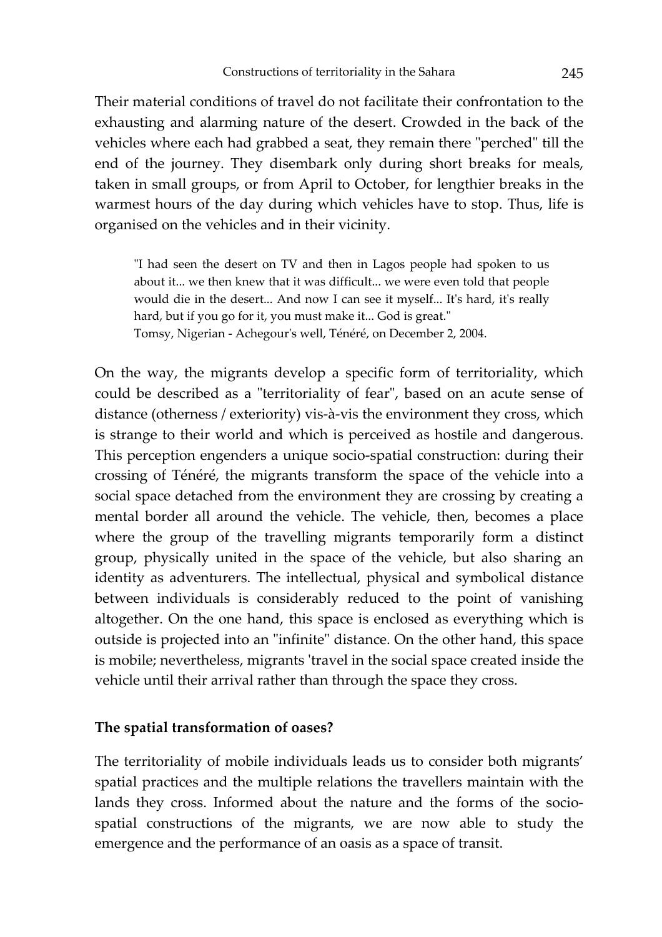Their material conditions of travel do not facilitate their confrontation to the exhausting and alarming nature of the desert. Crowded in the back of the vehicles where each had grabbed a seat, they remain there "perched" till the end of the journey. They disembark only during short breaks for meals, taken in small groups, or from April to October, for lengthier breaks in the warmest hours of the day during which vehicles have to stop. Thus, life is organised on the vehicles and in their vicinity.

"I had seen the desert on TV and then in Lagos people had spoken to us about it... we then knew that it was difficult... we were even told that people would die in the desert... And now I can see it myself... It's hard, it's really hard, but if you go for it, you must make it... God is great." Tomsy, Nigerian - Achegour's well, Ténéré, on December 2, 2004.

On the way, the migrants develop a specific form of territoriality, which could be described as a "territoriality of fear", based on an acute sense of distance (otherness / exteriority) vis-à-vis the environment they cross, which is strange to their world and which is perceived as hostile and dangerous. This perception engenders a unique socio-spatial construction: during their crossing of Ténéré, the migrants transform the space of the vehicle into a social space detached from the environment they are crossing by creating a mental border all around the vehicle. The vehicle, then, becomes a place where the group of the travelling migrants temporarily form a distinct group, physically united in the space of the vehicle, but also sharing an identity as adventurers. The intellectual, physical and symbolical distance between individuals is considerably reduced to the point of vanishing altogether. On the one hand, this space is enclosed as everything which is outside is projected into an "infinite" distance. On the other hand, this space is mobile; nevertheless, migrants 'travel in the social space created inside the vehicle until their arrival rather than through the space they cross.

#### **The spatial transformation of oases?**

The territoriality of mobile individuals leads us to consider both migrants' spatial practices and the multiple relations the travellers maintain with the lands they cross. Informed about the nature and the forms of the sociospatial constructions of the migrants, we are now able to study the emergence and the performance of an oasis as a space of transit.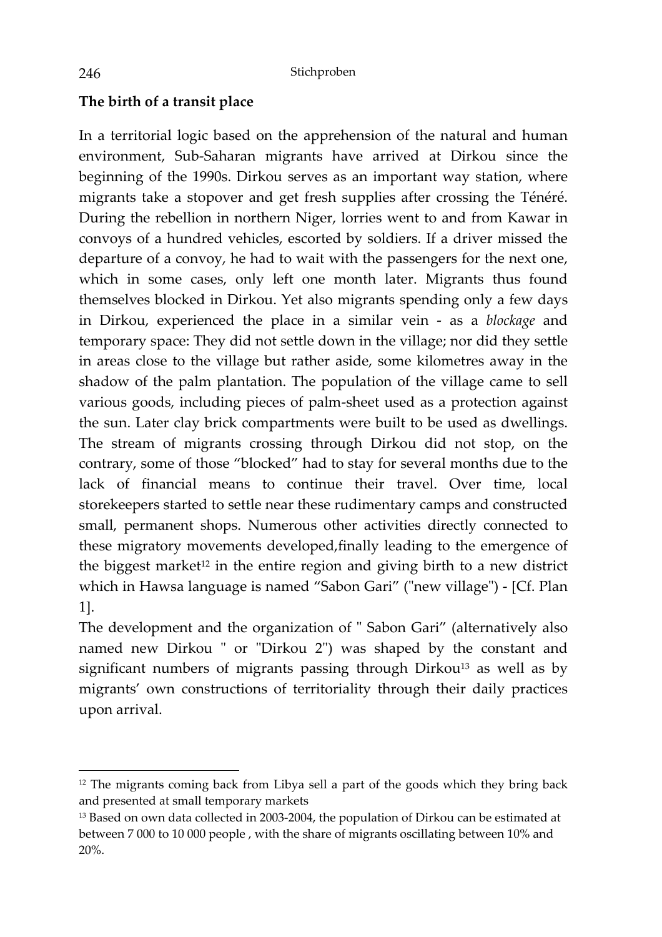## **The birth of a transit place**

In a territorial logic based on the apprehension of the natural and human environment, Sub-Saharan migrants have arrived at Dirkou since the beginning of the 1990s. Dirkou serves as an important way station, where migrants take a stopover and get fresh supplies after crossing the Ténéré. During the rebellion in northern Niger, lorries went to and from Kawar in convoys of a hundred vehicles, escorted by soldiers. If a driver missed the departure of a convoy, he had to wait with the passengers for the next one, which in some cases, only left one month later. Migrants thus found themselves blocked in Dirkou. Yet also migrants spending only a few days in Dirkou, experienced the place in a similar vein - as a *blockage* and temporary space: They did not settle down in the village; nor did they settle in areas close to the village but rather aside, some kilometres away in the shadow of the palm plantation. The population of the village came to sell various goods, including pieces of palm-sheet used as a protection against the sun. Later clay brick compartments were built to be used as dwellings. The stream of migrants crossing through Dirkou did not stop, on the contrary, some of those "blocked" had to stay for several months due to the lack of financial means to continue their travel. Over time, local storekeepers started to settle near these rudimentary camps and constructed small, permanent shops. Numerous other activities directly connected to these migratory movements developed,finally leading to the emergence of the biggest market<sup>12</sup> in the entire region and giving birth to a new district which in Hawsa language is named "Sabon Gari" ("new village") - [Cf. Plan 1].

The development and the organization of " Sabon Gari" (alternatively also named new Dirkou " or "Dirkou 2") was shaped by the constant and significant numbers of migrants passing through Dirkou<sup>13</sup> as well as by migrants' own constructions of territoriality through their daily practices upon arrival.

 $\overline{a}$ 

<sup>&</sup>lt;sup>12</sup> The migrants coming back from Libya sell a part of the goods which they bring back and presented at small temporary markets

<sup>&</sup>lt;sup>13</sup> Based on own data collected in 2003-2004, the population of Dirkou can be estimated at between 7 000 to 10 000 people , with the share of migrants oscillating between 10% and 20%.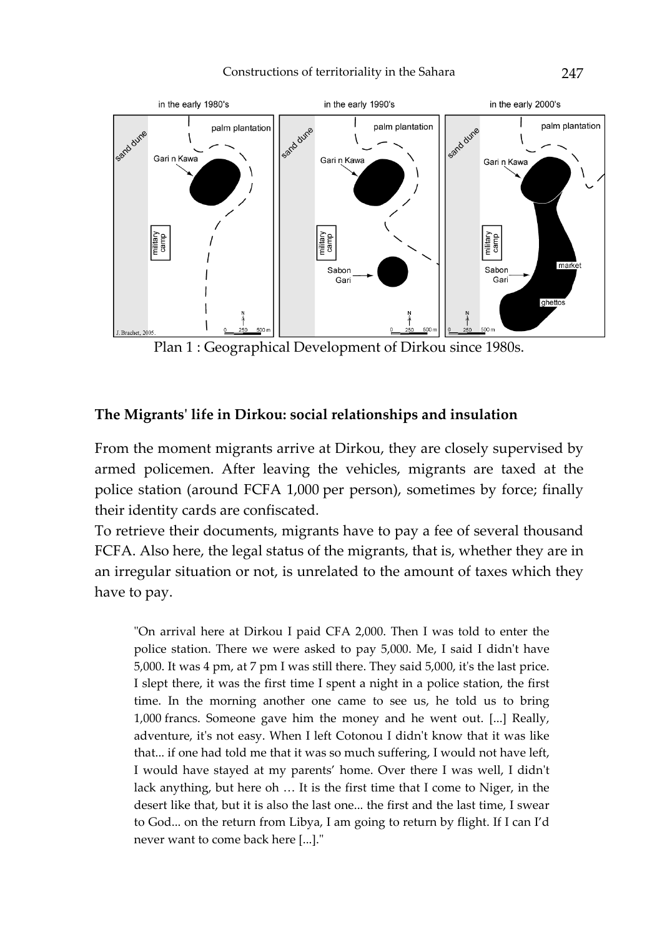#### Constructions of territoriality in the Sahara 247



Plan 1 : Geographical Development of Dirkou since 1980s.

### **The Migrants' life in Dirkou: social relationships and insulation**

From the moment migrants arrive at Dirkou, they are closely supervised by armed policemen. After leaving the vehicles, migrants are taxed at the police station (around FCFA 1,000 per person), sometimes by force; finally their identity cards are confiscated.

To retrieve their documents, migrants have to pay a fee of several thousand FCFA. Also here, the legal status of the migrants, that is, whether they are in an irregular situation or not, is unrelated to the amount of taxes which they have to pay.

"On arrival here at Dirkou I paid CFA 2,000. Then I was told to enter the police station. There we were asked to pay 5,000. Me, I said I didn't have 5,000. It was 4 pm, at 7 pm I was still there. They said 5,000, it's the last price. I slept there, it was the first time I spent a night in a police station, the first time. In the morning another one came to see us, he told us to bring 1,000 francs. Someone gave him the money and he went out. [...] Really, adventure, it's not easy. When I left Cotonou I didn't know that it was like that... if one had told me that it was so much suffering, I would not have left, I would have stayed at my parents' home. Over there I was well, I didn't lack anything, but here oh … It is the first time that I come to Niger, in the desert like that, but it is also the last one... the first and the last time, I swear to God... on the return from Libya, I am going to return by flight. If I can I'd never want to come back here [...]."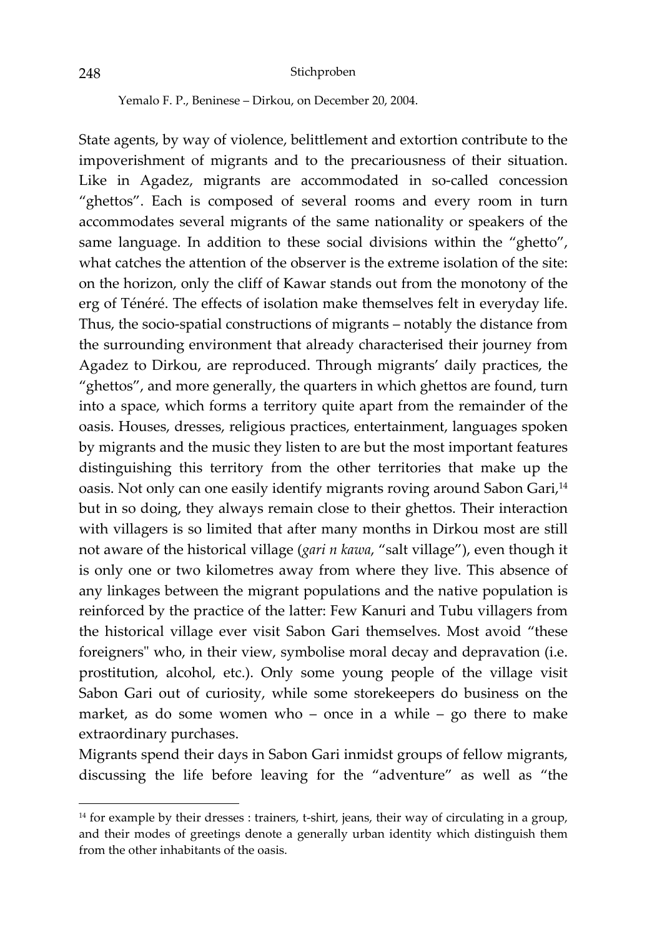Yemalo F. P., Beninese – Dirkou, on December 20, 2004.

State agents, by way of violence, belittlement and extortion contribute to the impoverishment of migrants and to the precariousness of their situation. Like in Agadez, migrants are accommodated in so-called concession "ghettos". Each is composed of several rooms and every room in turn accommodates several migrants of the same nationality or speakers of the same language. In addition to these social divisions within the "ghetto", what catches the attention of the observer is the extreme isolation of the site: on the horizon, only the cliff of Kawar stands out from the monotony of the erg of Ténéré. The effects of isolation make themselves felt in everyday life. Thus, the socio-spatial constructions of migrants – notably the distance from the surrounding environment that already characterised their journey from Agadez to Dirkou, are reproduced. Through migrants' daily practices, the "ghettos", and more generally, the quarters in which ghettos are found, turn into a space, which forms a territory quite apart from the remainder of the oasis. Houses, dresses, religious practices, entertainment, languages spoken by migrants and the music they listen to are but the most important features distinguishing this territory from the other territories that make up the oasis. Not only can one easily identify migrants roving around Sabon Gari,<sup>14</sup> but in so doing, they always remain close to their ghettos. Their interaction with villagers is so limited that after many months in Dirkou most are still not aware of the historical village (*gari n kawa*, "salt village"), even though it is only one or two kilometres away from where they live. This absence of any linkages between the migrant populations and the native population is reinforced by the practice of the latter: Few Kanuri and Tubu villagers from the historical village ever visit Sabon Gari themselves. Most avoid "these foreigners" who, in their view, symbolise moral decay and depravation (i.e. prostitution, alcohol, etc.). Only some young people of the village visit Sabon Gari out of curiosity, while some storekeepers do business on the market, as do some women who – once in a while – go there to make extraordinary purchases.

Migrants spend their days in Sabon Gari inmidst groups of fellow migrants, discussing the life before leaving for the "adventure" as well as "the

 $\overline{\phantom{a}}$ 

<sup>&</sup>lt;sup>14</sup> for example by their dresses : trainers, t-shirt, jeans, their way of circulating in a group, and their modes of greetings denote a generally urban identity which distinguish them from the other inhabitants of the oasis.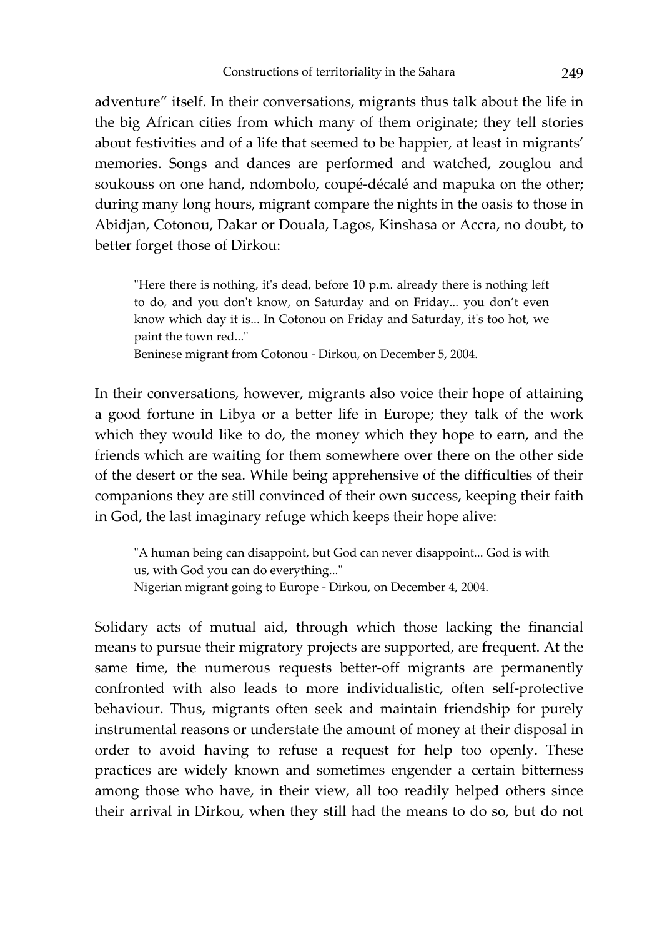adventure" itself. In their conversations, migrants thus talk about the life in the big African cities from which many of them originate; they tell stories about festivities and of a life that seemed to be happier, at least in migrants' memories. Songs and dances are performed and watched, zouglou and soukouss on one hand, ndombolo, coupé-décalé and mapuka on the other; during many long hours, migrant compare the nights in the oasis to those in Abidjan, Cotonou, Dakar or Douala, Lagos, Kinshasa or Accra, no doubt, to better forget those of Dirkou:

"Here there is nothing, it's dead, before 10 p.m. already there is nothing left to do, and you don't know, on Saturday and on Friday... you don't even know which day it is... In Cotonou on Friday and Saturday, it's too hot, we paint the town red..."

Beninese migrant from Cotonou - Dirkou, on December 5, 2004.

In their conversations, however, migrants also voice their hope of attaining a good fortune in Libya or a better life in Europe; they talk of the work which they would like to do, the money which they hope to earn, and the friends which are waiting for them somewhere over there on the other side of the desert or the sea. While being apprehensive of the difficulties of their companions they are still convinced of their own success, keeping their faith in God, the last imaginary refuge which keeps their hope alive:

"A human being can disappoint, but God can never disappoint... God is with us, with God you can do everything..." Nigerian migrant going to Europe - Dirkou, on December 4, 2004.

Solidary acts of mutual aid, through which those lacking the financial means to pursue their migratory projects are supported, are frequent. At the same time, the numerous requests better-off migrants are permanently confronted with also leads to more individualistic, often self-protective behaviour. Thus, migrants often seek and maintain friendship for purely instrumental reasons or understate the amount of money at their disposal in order to avoid having to refuse a request for help too openly. These practices are widely known and sometimes engender a certain bitterness among those who have, in their view, all too readily helped others since their arrival in Dirkou, when they still had the means to do so, but do not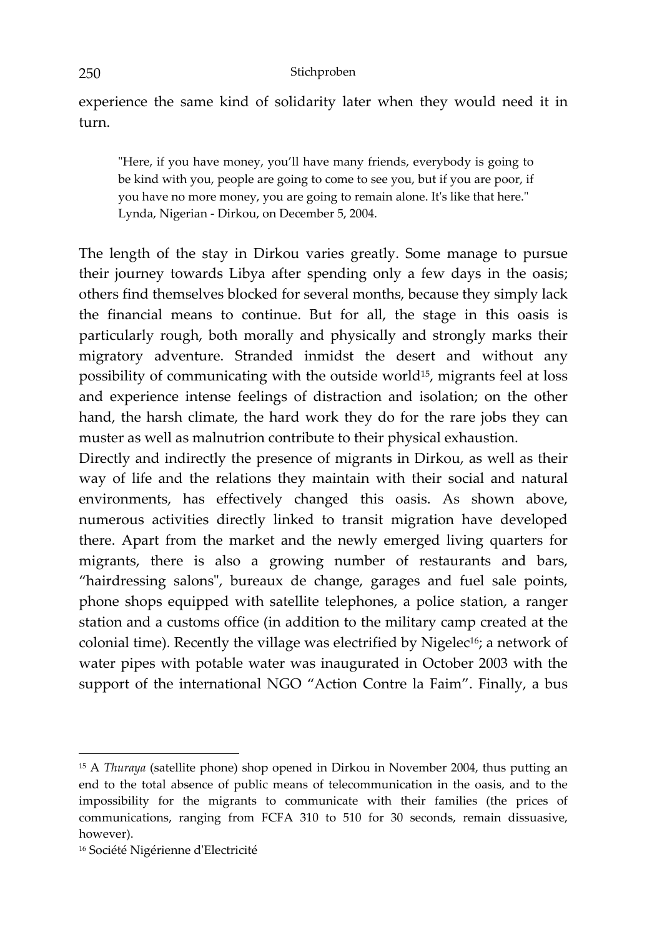experience the same kind of solidarity later when they would need it in turn.

"Here, if you have money, you'll have many friends, everybody is going to be kind with you, people are going to come to see you, but if you are poor, if you have no more money, you are going to remain alone. It's like that here." Lynda, Nigerian - Dirkou, on December 5, 2004.

The length of the stay in Dirkou varies greatly. Some manage to pursue their journey towards Libya after spending only a few days in the oasis; others find themselves blocked for several months, because they simply lack the financial means to continue. But for all, the stage in this oasis is particularly rough, both morally and physically and strongly marks their migratory adventure. Stranded inmidst the desert and without any possibility of communicating with the outside world15, migrants feel at loss and experience intense feelings of distraction and isolation; on the other hand, the harsh climate, the hard work they do for the rare jobs they can muster as well as malnutrion contribute to their physical exhaustion.

Directly and indirectly the presence of migrants in Dirkou, as well as their way of life and the relations they maintain with their social and natural environments, has effectively changed this oasis. As shown above, numerous activities directly linked to transit migration have developed there. Apart from the market and the newly emerged living quarters for migrants, there is also a growing number of restaurants and bars, "hairdressing salons", bureaux de change, garages and fuel sale points, phone shops equipped with satellite telephones, a police station, a ranger station and a customs office (in addition to the military camp created at the colonial time). Recently the village was electrified by Nigelec<sup>16</sup>; a network of water pipes with potable water was inaugurated in October 2003 with the support of the international NGO "Action Contre la Faim". Finally, a bus

 $\overline{\phantom{a}}$ 

<sup>15</sup> A *Thuraya* (satellite phone) shop opened in Dirkou in November 2004, thus putting an end to the total absence of public means of telecommunication in the oasis, and to the impossibility for the migrants to communicate with their families (the prices of communications, ranging from FCFA 310 to 510 for 30 seconds, remain dissuasive, however).

<sup>16</sup> Société Nigérienne d'Electricité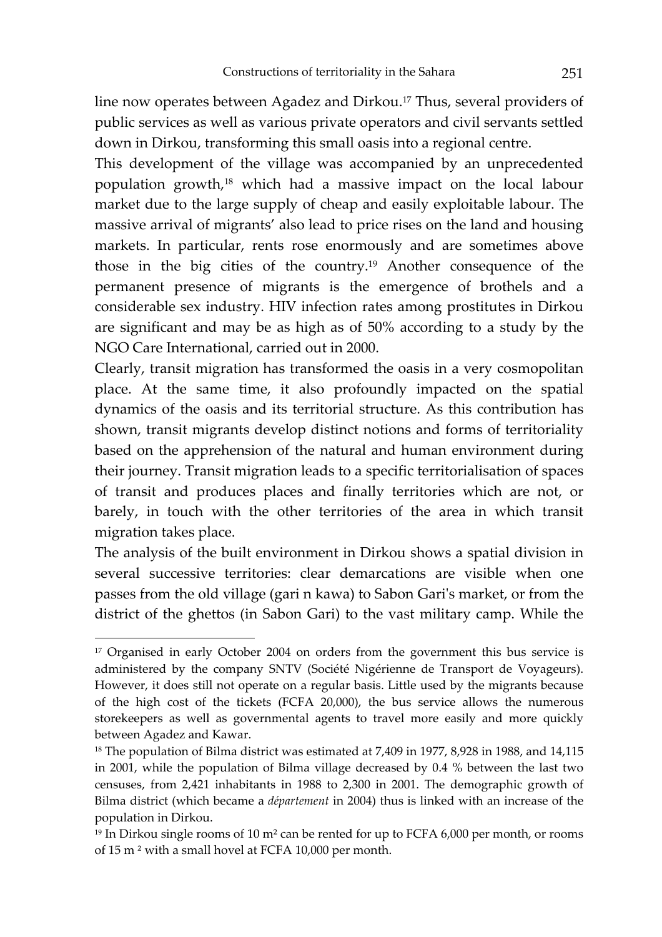line now operates between Agadez and Dirkou.17 Thus, several providers of public services as well as various private operators and civil servants settled down in Dirkou, transforming this small oasis into a regional centre.

This development of the village was accompanied by an unprecedented population growth,18 which had a massive impact on the local labour market due to the large supply of cheap and easily exploitable labour. The massive arrival of migrants' also lead to price rises on the land and housing markets. In particular, rents rose enormously and are sometimes above those in the big cities of the country.19 Another consequence of the permanent presence of migrants is the emergence of brothels and a considerable sex industry. HIV infection rates among prostitutes in Dirkou are significant and may be as high as of 50% according to a study by the NGO Care International, carried out in 2000.

Clearly, transit migration has transformed the oasis in a very cosmopolitan place. At the same time, it also profoundly impacted on the spatial dynamics of the oasis and its territorial structure. As this contribution has shown, transit migrants develop distinct notions and forms of territoriality based on the apprehension of the natural and human environment during their journey. Transit migration leads to a specific territorialisation of spaces of transit and produces places and finally territories which are not, or barely, in touch with the other territories of the area in which transit migration takes place.

The analysis of the built environment in Dirkou shows a spatial division in several successive territories: clear demarcations are visible when one passes from the old village (gari n kawa) to Sabon Gari's market, or from the district of the ghettos (in Sabon Gari) to the vast military camp. While the

l

<sup>&</sup>lt;sup>17</sup> Organised in early October 2004 on orders from the government this bus service is administered by the company SNTV (Société Nigérienne de Transport de Voyageurs). However, it does still not operate on a regular basis. Little used by the migrants because of the high cost of the tickets (FCFA 20,000), the bus service allows the numerous storekeepers as well as governmental agents to travel more easily and more quickly between Agadez and Kawar.

<sup>&</sup>lt;sup>18</sup> The population of Bilma district was estimated at 7,409 in 1977, 8,928 in 1988, and 14,115 in 2001, while the population of Bilma village decreased by 0.4 % between the last two censuses, from 2,421 inhabitants in 1988 to 2,300 in 2001. The demographic growth of Bilma district (which became a *département* in 2004) thus is linked with an increase of the population in Dirkou.

 $19$  In Dirkou single rooms of 10 m<sup>2</sup> can be rented for up to FCFA 6,000 per month, or rooms of 15 m ² with a small hovel at FCFA 10,000 per month.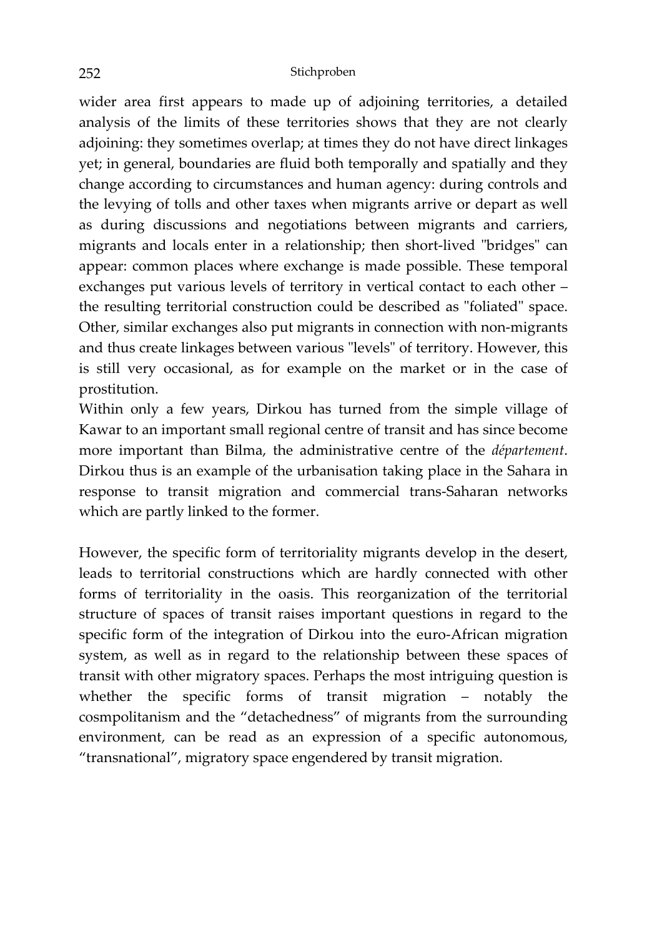wider area first appears to made up of adjoining territories, a detailed analysis of the limits of these territories shows that they are not clearly adjoining: they sometimes overlap; at times they do not have direct linkages yet; in general, boundaries are fluid both temporally and spatially and they change according to circumstances and human agency: during controls and the levying of tolls and other taxes when migrants arrive or depart as well as during discussions and negotiations between migrants and carriers, migrants and locals enter in a relationship; then short-lived "bridges" can appear: common places where exchange is made possible. These temporal exchanges put various levels of territory in vertical contact to each other – the resulting territorial construction could be described as "foliated" space. Other, similar exchanges also put migrants in connection with non-migrants and thus create linkages between various "levels" of territory. However, this is still very occasional, as for example on the market or in the case of prostitution.

Within only a few years, Dirkou has turned from the simple village of Kawar to an important small regional centre of transit and has since become more important than Bilma, the administrative centre of the *département*. Dirkou thus is an example of the urbanisation taking place in the Sahara in response to transit migration and commercial trans-Saharan networks which are partly linked to the former.

However, the specific form of territoriality migrants develop in the desert, leads to territorial constructions which are hardly connected with other forms of territoriality in the oasis. This reorganization of the territorial structure of spaces of transit raises important questions in regard to the specific form of the integration of Dirkou into the euro-African migration system, as well as in regard to the relationship between these spaces of transit with other migratory spaces. Perhaps the most intriguing question is whether the specific forms of transit migration – notably the cosmpolitanism and the "detachedness" of migrants from the surrounding environment, can be read as an expression of a specific autonomous, "transnational", migratory space engendered by transit migration.